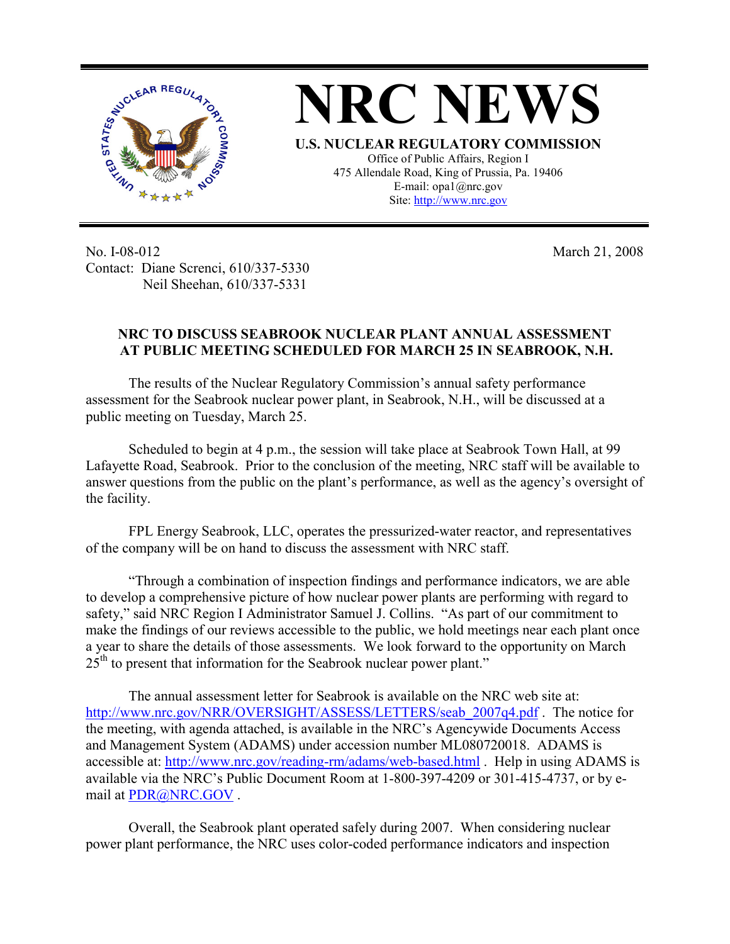



No. I-08-012 Contact: Diane Screnci, 610/337-5330 Neil Sheehan, 610/337-5331

March 21, 2008

## **NRC TO DISCUSS SEABROOK NUCLEAR PLANT ANNUAL ASSESSMENT AT PUBLIC MEETING SCHEDULED FOR MARCH 25 IN SEABROOK, N.H.**

The results of the Nuclear Regulatory Commission's annual safety performance assessment for the Seabrook nuclear power plant, in Seabrook, N.H., will be discussed at a public meeting on Tuesday, March 25.

Scheduled to begin at 4 p.m., the session will take place at Seabrook Town Hall, at 99 Lafayette Road, Seabrook. Prior to the conclusion of the meeting, NRC staff will be available to answer questions from the public on the plant's performance, as well as the agency's oversight of the facility.

FPL Energy Seabrook, LLC, operates the pressurized-water reactor, and representatives of the company will be on hand to discuss the assessment with NRC staff.

"Through a combination of inspection findings and performance indicators, we are able to develop a comprehensive picture of how nuclear power plants are performing with regard to safety," said NRC Region I Administrator Samuel J. Collins. "As part of our commitment to make the findings of our reviews accessible to the public, we hold meetings near each plant once a year to share the details of those assessments. We look forward to the opportunity on March  $25<sup>th</sup>$  to present that information for the Seabrook nuclear power plant."

The annual assessment letter for Seabrook is available on the NRC web site at: http://www.nrc.gov/NRR/OVERSIGHT/ASSESS/LETTERS/seab 2007q4.pdf . The notice for the meeting, with agenda attached, is available in the NRC's Agencywide Documents Access and Management System (ADAMS) under accession number ML080720018. ADAMS is accessible at: http://www.nrc.gov/reading-rm/adams/web-based.html . Help in using ADAMS is available via the NRC's Public Document Room at 1-800-397-4209 or 301-415-4737, or by email at PDR@NRC.GOV .

Overall, the Seabrook plant operated safely during 2007. When considering nuclear power plant performance, the NRC uses color-coded performance indicators and inspection